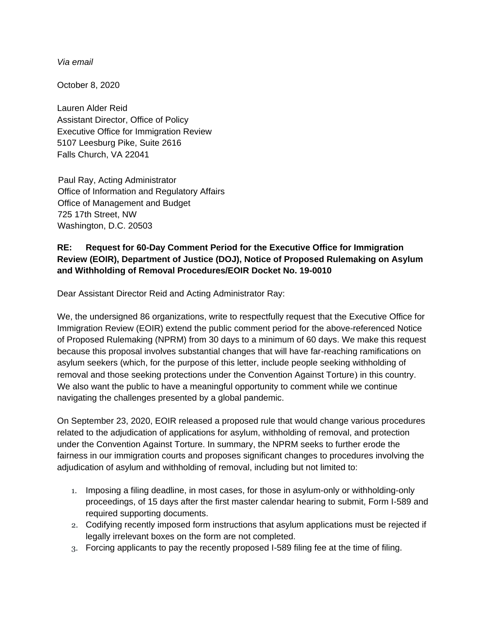*Via email*

October 8, 2020

Lauren Alder Reid Assistant Director, Office of Policy Executive Office for Immigration Review 5107 Leesburg Pike, Suite 2616 Falls Church, VA 22041

Paul Ray, Acting Administrator Office of Information and Regulatory Affairs Office of Management and Budget 725 17th Street, NW Washington, D.C. 20503

## **RE: Request for 60-Day Comment Period for the Executive Office for Immigration Review (EOIR), Department of Justice (DOJ), Notice of Proposed Rulemaking on Asylum and Withholding of Removal Procedures/EOIR Docket No. 19-0010**

Dear Assistant Director Reid and Acting Administrator Ray:

We, the undersigned 86 organizations, write to respectfully request that the Executive Office for Immigration Review (EOIR) extend the public comment period for the above-referenced Notice of Proposed Rulemaking (NPRM) from 30 days to a minimum of 60 days. We make this request because this proposal involves substantial changes that will have far-reaching ramifications on asylum seekers (which, for the purpose of this letter, include people seeking withholding of removal and those seeking protections under the Convention Against Torture) in this country. We also want the public to have a meaningful opportunity to comment while we continue navigating the challenges presented by a global pandemic.

On September 23, 2020, EOIR released a proposed rule that would change various procedures related to the adjudication of applications for asylum, withholding of removal, and protection under the Convention Against Torture. In summary, the NPRM seeks to further erode the fairness in our immigration courts and proposes significant changes to procedures involving the adjudication of asylum and withholding of removal, including but not limited to:

- 1. Imposing a filing deadline, in most cases, for those in asylum-only or withholding-only proceedings, of 15 days after the first master calendar hearing to submit, Form I-589 and required supporting documents.
- 2. Codifying recently imposed form instructions that asylum applications must be rejected if legally irrelevant boxes on the form are not completed.
- 3. Forcing applicants to pay the recently proposed I-589 filing fee at the time of filing.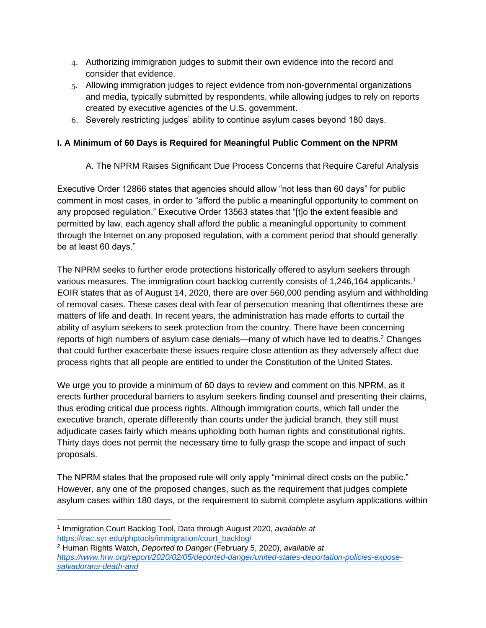- 4. Authorizing immigration judges to submit their own evidence into the record and consider that evidence.
- 5. Allowing immigration judges to reject evidence from non-governmental organizations and media, typically submitted by respondents, while allowing judges to rely on reports created by executive agencies of the U.S. government.
- 6. Severely restricting judges' ability to continue asylum cases beyond 180 days.

## **I. A Minimum of 60 Days is Required for Meaningful Public Comment on the NPRM**

A. The NPRM Raises Significant Due Process Concerns that Require Careful Analysis

Executive Order 12866 states that agencies should allow "not less than 60 days" for public comment in most cases, in order to "afford the public a meaningful opportunity to comment on any proposed regulation." Executive Order 13563 states that "[t]o the extent feasible and permitted by law, each agency shall afford the public a meaningful opportunity to comment through the Internet on any proposed regulation, with a comment period that should generally be at least 60 days."

The NPRM seeks to further erode protections historically offered to asylum seekers through various measures. The immigration court backlog currently consists of 1,246,164 applicants.<sup>1</sup> EOIR states that as of August 14, 2020, there are over 560,000 pending asylum and withholding of removal cases. These cases deal with fear of persecution meaning that oftentimes these are matters of life and death. In recent years, the administration has made efforts to curtail the ability of asylum seekers to seek protection from the country. There have been concerning reports of high numbers of asylum case denials—many of which have led to deaths.<sup>2</sup> Changes that could further exacerbate these issues require close attention as they adversely affect due process rights that all people are entitled to under the Constitution of the United States.

We urge you to provide a minimum of 60 days to review and comment on this NPRM, as it erects further procedural barriers to asylum seekers finding counsel and presenting their claims, thus eroding critical due process rights. Although immigration courts, which fall under the executive branch, operate differently than courts under the judicial branch, they still must adjudicate cases fairly which means upholding both human rights and constitutional rights. Thirty days does not permit the necessary time to fully grasp the scope and impact of such proposals.

The NPRM states that the proposed rule will only apply "minimal direct costs on the public." However, any one of the proposed changes, such as the requirement that judges complete asylum cases within 180 days, or the requirement to submit complete asylum applications within

<sup>1</sup> Immigration Court Backlog Tool, Data through August 2020, *available at*  [https://trac.syr.edu/phptools/immigration/court\\_backlog/](https://trac.syr.edu/phptools/immigration/court_backlog/)

<sup>2</sup> Human Rights Watch, *Deported to Danger* (February 5, 2020), *available at [https://www.hrw.org/report/2020/02/05/deported-danger/united-states-deportation-policies-expose](https://www.hrw.org/report/2020/02/05/deported-danger/united-states-deportation-policies-expose-salvadorans-death-and)[salvadorans-death-and](https://www.hrw.org/report/2020/02/05/deported-danger/united-states-deportation-policies-expose-salvadorans-death-and)*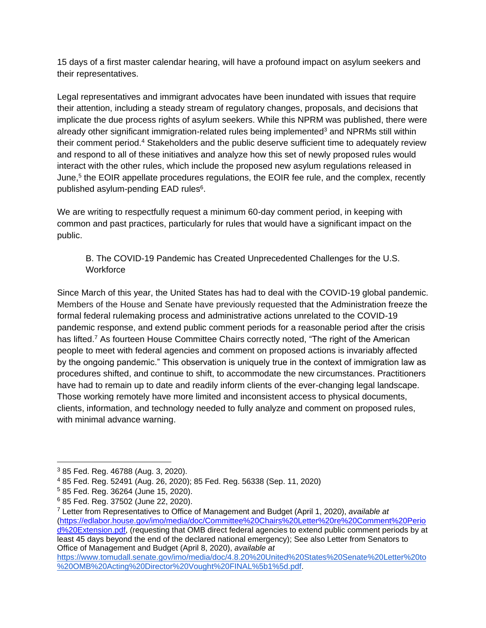15 days of a first master calendar hearing, will have a profound impact on asylum seekers and their representatives.

Legal representatives and immigrant advocates have been inundated with issues that require their attention, including a steady stream of regulatory changes, proposals, and decisions that implicate the due process rights of asylum seekers. While this NPRM was published, there were already other significant immigration-related rules being implemented<sup>3</sup> and NPRMs still within their comment period.<sup>4</sup> Stakeholders and the public deserve sufficient time to adequately review and respond to all of these initiatives and analyze how this set of newly proposed rules would interact with the other rules, which include the proposed new asylum regulations released in June,<sup>5</sup> the EOIR appellate procedures regulations, the EOIR fee rule, and the complex, recently published asylum-pending EAD rules<sup>6</sup>.

We are writing to respectfully request a minimum 60-day comment period, in keeping with common and past practices, particularly for rules that would have a significant impact on the public.

B. The COVID-19 Pandemic has Created Unprecedented Challenges for the U.S. **Workforce** 

Since March of this year, the United States has had to deal with the COVID-19 global pandemic. Members of the House and Senate have previously requested that the Administration freeze the formal federal rulemaking process and administrative actions unrelated to the COVID-19 pandemic response, and extend public comment periods for a reasonable period after the crisis has lifted.<sup>7</sup> As fourteen House Committee Chairs correctly noted, "The right of the American people to meet with federal agencies and comment on proposed actions is invariably affected by the ongoing pandemic." This observation is uniquely true in the context of immigration law as procedures shifted, and continue to shift, to accommodate the new circumstances. Practitioners have had to remain up to date and readily inform clients of the ever-changing legal landscape. Those working remotely have more limited and inconsistent access to physical documents, clients, information, and technology needed to fully analyze and comment on proposed rules, with minimal advance warning.

[https://www.tomudall.senate.gov/imo/media/doc/4.8.20%20United%20States%20Senate%20Letter%20to](https://www.tomudall.senate.gov/imo/media/doc/4.8.20%20United%20States%20Senate%20Letter%20to%20OMB%20Acting%20Director%20Vought%20FINAL%5b1%5d.pdf) [%20OMB%20Acting%20Director%20Vought%20FINAL%5b1%5d.pdf.](https://www.tomudall.senate.gov/imo/media/doc/4.8.20%20United%20States%20Senate%20Letter%20to%20OMB%20Acting%20Director%20Vought%20FINAL%5b1%5d.pdf)

<sup>3</sup> 85 Fed. Reg. 46788 (Aug. 3, 2020).

<sup>4</sup> 85 Fed. Reg. 52491 (Aug. 26, 2020); 85 Fed. Reg. 56338 (Sep. 11, 2020)

<sup>5</sup> 85 Fed. Reg. 36264 (June 15, 2020).

<sup>6</sup> 85 Fed. Reg. 37502 (June 22, 2020).

<sup>7</sup> Letter from Representatives to Office of Management and Budget (April 1, 2020), *available at*  [\(https://edlabor.house.gov/imo/media/doc/Committee%20Chairs%20Letter%20re%20Comment%20Perio](https://edlabor.house.gov/imo/media/doc/Committee%20Chairs%20Letter%20re%20Comment%20Period%20Extension.pdf) [d%20Extension.pdf,](https://edlabor.house.gov/imo/media/doc/Committee%20Chairs%20Letter%20re%20Comment%20Period%20Extension.pdf) (requesting that OMB direct federal agencies to extend public comment periods by at least 45 days beyond the end of the declared national emergency); See also Letter from Senators to Office of Management and Budget (April 8, 2020), *available a[t](https://www.tomudall.senate.gov/imo/media/doc/4.8.20%20United%20States%20Senate%20Letter%20to%20OMB%20Acting%20Director%20Vought%20FINAL%5b1%5d.pdf)*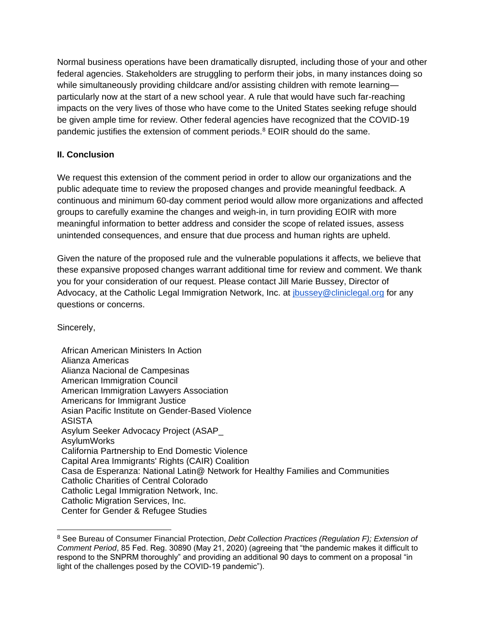Normal business operations have been dramatically disrupted, including those of your and other federal agencies. Stakeholders are struggling to perform their jobs, in many instances doing so while simultaneously providing childcare and/or assisting children with remote learning particularly now at the start of a new school year. A rule that would have such far-reaching impacts on the very lives of those who have come to the United States seeking refuge should be given ample time for review. Other federal agencies have recognized that the COVID-19 pandemic justifies the extension of comment periods.<sup>8</sup> EOIR should do the same.

## **II. Conclusion**

We request this extension of the comment period in order to allow our organizations and the public adequate time to review the proposed changes and provide meaningful feedback. A continuous and minimum 60-day comment period would allow more organizations and affected groups to carefully examine the changes and weigh-in, in turn providing EOIR with more meaningful information to better address and consider the scope of related issues, assess unintended consequences, and ensure that due process and human rights are upheld.

Given the nature of the proposed rule and the vulnerable populations it affects, we believe that these expansive proposed changes warrant additional time for review and comment. We thank you for your consideration of our request. Please contact Jill Marie Bussey, Director of Advocacy, at the Catholic Legal Immigration Network, Inc. at [jbussey@cliniclegal.org](mailto:jbussey@cliniclegal.org) for any questions or concerns.

Sincerely,

African American Ministers In Action Alianza Americas Alianza Nacional de Campesinas American Immigration Council American Immigration Lawyers Association Americans for Immigrant Justice Asian Pacific Institute on Gender-Based Violence ASISTA Asylum Seeker Advocacy Project (ASAP\_ AsylumWorks California Partnership to End Domestic Violence Capital Area Immigrants' Rights (CAIR) Coalition Casa de Esperanza: National Latin@ Network for Healthy Families and Communities Catholic Charities of Central Colorado Catholic Legal Immigration Network, Inc. Catholic Migration Services, Inc. Center for Gender & Refugee Studies

<sup>8</sup> See Bureau of Consumer Financial Protection, *Debt Collection Practices (Regulation F); Extension of Comment Period*, 85 Fed. Reg. 30890 (May 21, 2020) (agreeing that "the pandemic makes it difficult to respond to the SNPRM thoroughly" and providing an additional 90 days to comment on a proposal "in light of the challenges posed by the COVID-19 pandemic").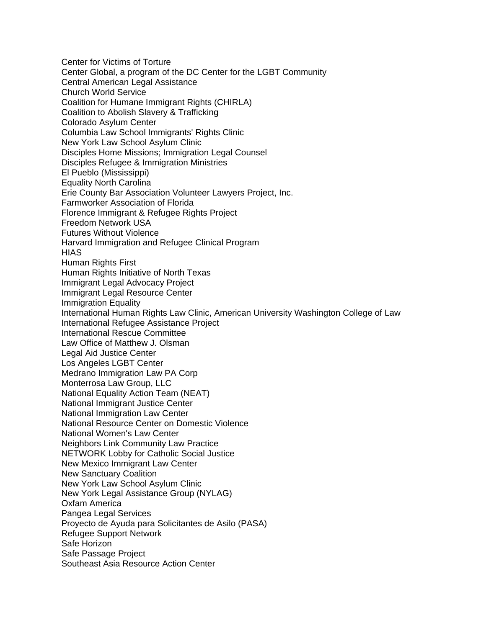Center for Victims of Torture Center Global, a program of the DC Center for the LGBT Community Central American Legal Assistance Church World Service Coalition for Humane Immigrant Rights (CHIRLA) Coalition to Abolish Slavery & Trafficking Colorado Asylum Center Columbia Law School Immigrants' Rights Clinic New York Law School Asylum Clinic Disciples Home Missions; Immigration Legal Counsel Disciples Refugee & Immigration Ministries El Pueblo (Mississippi) Equality North Carolina Erie County Bar Association Volunteer Lawyers Project, Inc. Farmworker Association of Florida Florence Immigrant & Refugee Rights Project Freedom Network USA Futures Without Violence Harvard Immigration and Refugee Clinical Program **HIAS** Human Rights First Human Rights Initiative of North Texas Immigrant Legal Advocacy Project Immigrant Legal Resource Center Immigration Equality International Human Rights Law Clinic, American University Washington College of Law International Refugee Assistance Project International Rescue Committee Law Office of Matthew J. Olsman Legal Aid Justice Center Los Angeles LGBT Center Medrano Immigration Law PA Corp Monterrosa Law Group, LLC National Equality Action Team (NEAT) National Immigrant Justice Center National Immigration Law Center National Resource Center on Domestic Violence National Women's Law Center Neighbors Link Community Law Practice NETWORK Lobby for Catholic Social Justice New Mexico Immigrant Law Center New Sanctuary Coalition New York Law School Asylum Clinic New York Legal Assistance Group (NYLAG) Oxfam America Pangea Legal Services Proyecto de Ayuda para Solicitantes de Asilo (PASA) Refugee Support Network Safe Horizon Safe Passage Project Southeast Asia Resource Action Center